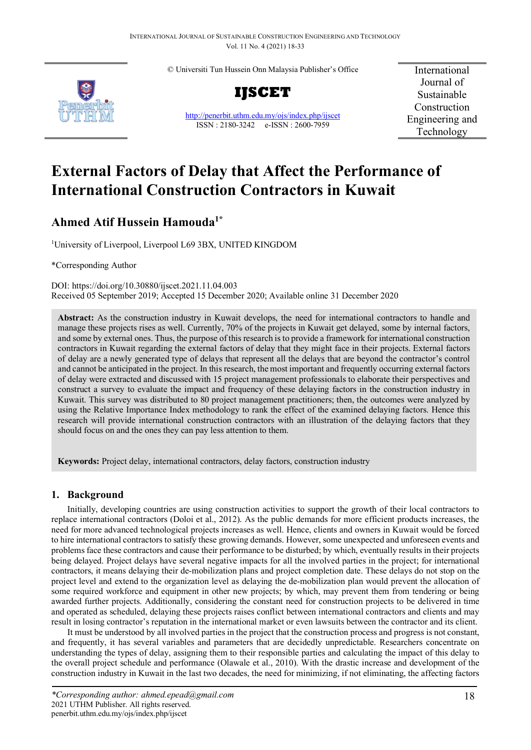© Universiti Tun Hussein Onn Malaysia Publisher's Office





<http://penerbit.uthm.edu.my/ojs/index.php/ijscet> ISSN : 2180-3242 e-ISSN : 2600-7959

International Journal of Sustainable Construction Engineering and Technology

# **External Factors of Delay that Affect the Performance of International Construction Contractors in Kuwait**

## **Ahmed Atif Hussein Hamouda1\***

1 University of Liverpool, Liverpool L69 3BX, UNITED KINGDOM

\*Corresponding Author

DOI: https://doi.org/10.30880/ijscet.2021.11.04.003 Received 05 September 2019; Accepted 15 December 2020; Available online 31 December 2020

**Abstract:** As the construction industry in Kuwait develops, the need for international contractors to handle and manage these projects rises as well. Currently, 70% of the projects in Kuwait get delayed, some by internal factors, and some by external ones. Thus, the purpose of this research is to provide a framework for international construction contractors in Kuwait regarding the external factors of delay that they might face in their projects. External factors of delay are a newly generated type of delays that represent all the delays that are beyond the contractor's control and cannot be anticipated in the project. In this research, the most important and frequently occurring external factors of delay were extracted and discussed with 15 project management professionals to elaborate their perspectives and construct a survey to evaluate the impact and frequency of these delaying factors in the construction industry in Kuwait. This survey was distributed to 80 project management practitioners; then, the outcomes were analyzed by using the Relative Importance Index methodology to rank the effect of the examined delaying factors. Hence this research will provide international construction contractors with an illustration of the delaying factors that they should focus on and the ones they can pay less attention to them.

**Keywords:** Project delay, international contractors, delay factors, construction industry

## **1. Background**

Initially, developing countries are using construction activities to support the growth of their local contractors to replace international contractors (Doloi et al., 2012). As the public demands for more efficient products increases, the need for more advanced technological projects increases as well. Hence, clients and owners in Kuwait would be forced to hire international contractors to satisfy these growing demands. However, some unexpected and unforeseen events and problems face these contractors and cause their performance to be disturbed; by which, eventually results in their projects being delayed. Project delays have several negative impacts for all the involved parties in the project; for international contractors, it means delaying their de-mobilization plans and project completion date. These delays do not stop on the project level and extend to the organization level as delaying the de-mobilization plan would prevent the allocation of some required workforce and equipment in other new projects; by which, may prevent them from tendering or being awarded further projects. Additionally, considering the constant need for construction projects to be delivered in time and operated as scheduled, delaying these projects raises conflict between international contractors and clients and may result in losing contractor's reputation in the international market or even lawsuits between the contractor and its client.

It must be understood by all involved parties in the project that the construction process and progress is not constant, and frequently, it has several variables and parameters that are decidedly unpredictable. Researchers concentrate on understanding the types of delay, assigning them to their responsible parties and calculating the impact of this delay to the overall project schedule and performance (Olawale et al., 2010). With the drastic increase and development of the construction industry in Kuwait in the last two decades, the need for minimizing, if not eliminating, the affecting factors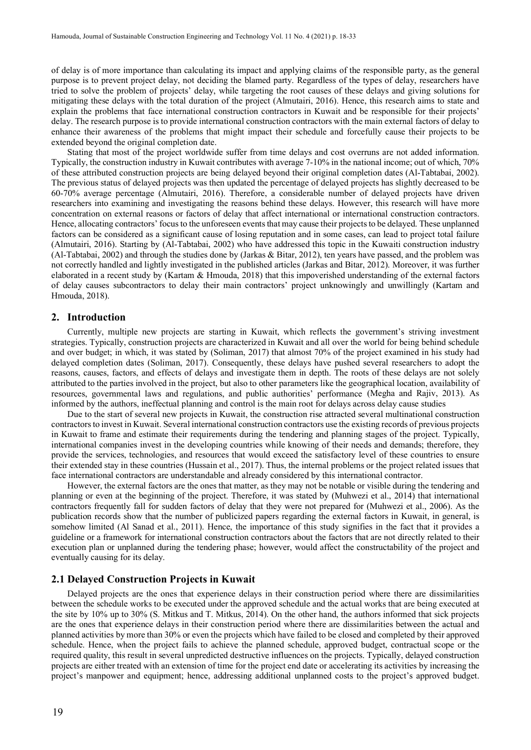of delay is of more importance than calculating its impact and applying claims of the responsible party, as the general purpose is to prevent project delay, not deciding the blamed party. Regardless of the types of delay, researchers have tried to solve the problem of projects' delay, while targeting the root causes of these delays and giving solutions for mitigating these delays with the total duration of the project (Almutairi, 2016). Hence, this research aims to state and explain the problems that face international construction contractors in Kuwait and be responsible for their projects' delay. The research purpose is to provide international construction contractors with the main external factors of delay to enhance their awareness of the problems that might impact their schedule and forcefully cause their projects to be extended beyond the original completion date.

Stating that most of the project worldwide suffer from time delays and cost overruns are not added information. Typically, the construction industry in Kuwait contributes with average 7-10% in the national income; out of which, 70% of these attributed construction projects are being delayed beyond their original completion dates (Al-Tabtabai, 2002). The previous status of delayed projects was then updated the percentage of delayed projects has slightly decreased to be 60-70% average percentage (Almutairi, 2016). Therefore, a considerable number of delayed projects have driven researchers into examining and investigating the reasons behind these delays. However, this research will have more concentration on external reasons or factors of delay that affect international or international construction contractors. Hence, allocating contractors' focus to the unforeseen events that may cause their projects to be delayed. These unplanned factors can be considered as a significant cause of losing reputation and in some cases, can lead to project total failure (Almutairi, 2016). Starting by (Al-Tabtabai, 2002) who have addressed this topic in the Kuwaiti construction industry (Al-Tabtabai, 2002) and through the studies done by (Jarkas & Bitar, 2012), ten years have passed, and the problem was not correctly handled and lightly investigated in the published articles (Jarkas and Bitar, 2012). Moreover, it was further elaborated in a recent study by (Kartam & Hmouda, 2018) that this impoverished understanding of the external factors of delay causes subcontractors to delay their main contractors' project unknowingly and unwillingly (Kartam and Hmouda, 2018).

## **2. Introduction**

Currently, multiple new projects are starting in Kuwait, which reflects the government's striving investment strategies. Typically, construction projects are characterized in Kuwait and all over the world for being behind schedule and over budget; in which, it was stated by (Soliman, 2017) that almost 70% of the project examined in his study had delayed completion dates (Soliman, 2017). Consequently, these delays have pushed several researchers to adopt the reasons, causes, factors, and effects of delays and investigate them in depth. The roots of these delays are not solely attributed to the parties involved in the project, but also to other parameters like the geographical location, availability of resources, governmental laws and regulations, and public authorities' performance (Megha and Rajiv, 2013). As informed by the authors, ineffectual planning and control is the main root for delays across delay cause studies

Due to the start of several new projects in Kuwait, the construction rise attracted several multinational construction contractors to invest in Kuwait. Several international construction contractors use the existing records of previous projects in Kuwait to frame and estimate their requirements during the tendering and planning stages of the project. Typically, international companies invest in the developing countries while knowing of their needs and demands; therefore, they provide the services, technologies, and resources that would exceed the satisfactory level of these countries to ensure their extended stay in these countries (Hussain et al., 2017). Thus, the internal problems or the project related issues that face international contractors are understandable and already considered by this international contractor.

However, the external factors are the ones that matter, as they may not be notable or visible during the tendering and planning or even at the beginning of the project. Therefore, it was stated by (Muhwezi et al., 2014) that international contractors frequently fall for sudden factors of delay that they were not prepared for (Muhwezi et al., 2006). As the publication records show that the number of publicized papers regarding the external factors in Kuwait, in general, is somehow limited (Al Sanad et al., 2011). Hence, the importance of this study signifies in the fact that it provides a guideline or a framework for international construction contractors about the factors that are not directly related to their execution plan or unplanned during the tendering phase; however, would affect the constructability of the project and eventually causing for its delay.

## **2.1 Delayed Construction Projects in Kuwait**

Delayed projects are the ones that experience delays in their construction period where there are dissimilarities between the schedule works to be executed under the approved schedule and the actual works that are being executed at the site by 10% up to 30% (S. Mitkus and T. Mitkus, 2014). On the other hand, the authors informed that sick projects are the ones that experience delays in their construction period where there are dissimilarities between the actual and planned activities by more than 30% or even the projects which have failed to be closed and completed by their approved schedule. Hence, when the project fails to achieve the planned schedule, approved budget, contractual scope or the required quality, this result in several unpredicted destructive influences on the projects. Typically, delayed construction projects are either treated with an extension of time for the project end date or accelerating its activities by increasing the project's manpower and equipment; hence, addressing additional unplanned costs to the project's approved budget.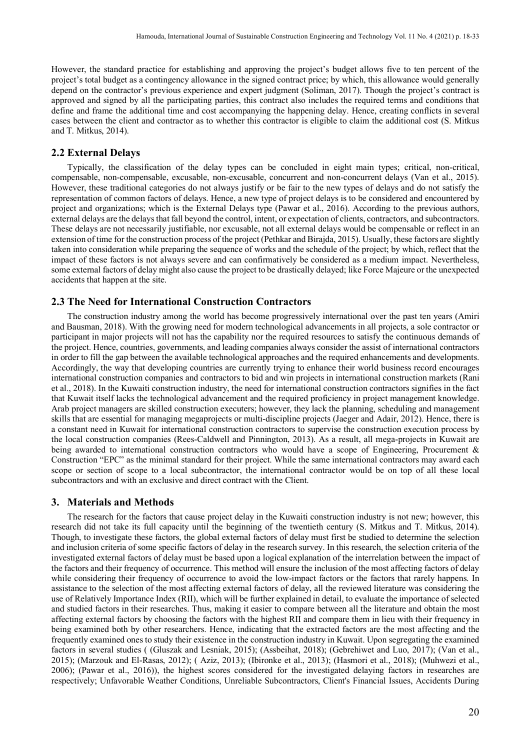However, the standard practice for establishing and approving the project's budget allows five to ten percent of the project's total budget as a contingency allowance in the signed contract price; by which, this allowance would generally depend on the contractor's previous experience and expert judgment (Soliman, 2017). Though the project's contract is approved and signed by all the participating parties, this contract also includes the required terms and conditions that define and frame the additional time and cost accompanying the happening delay. Hence, creating conflicts in several cases between the client and contractor as to whether this contractor is eligible to claim the additional cost (S. Mitkus and T. Mitkus, 2014).

## **2.2 External Delays**

Typically, the classification of the delay types can be concluded in eight main types; critical, non-critical, compensable, non-compensable, excusable, non-excusable, concurrent and non-concurrent delays (Van et al., 2015). However, these traditional categories do not always justify or be fair to the new types of delays and do not satisfy the representation of common factors of delays. Hence, a new type of project delays is to be considered and encountered by project and organizations; which is the External Delays type (Pawar et al., 2016). According to the previous authors, external delays are the delays that fall beyond the control, intent, or expectation of clients, contractors, and subcontractors. These delays are not necessarily justifiable, nor excusable, not all external delays would be compensable or reflect in an extension of time for the construction process of the project (Pethkar and Birajda, 2015). Usually, these factors are slightly taken into consideration while preparing the sequence of works and the schedule of the project; by which, reflect that the impact of these factors is not always severe and can confirmatively be considered as a medium impact. Nevertheless, some external factors of delay might also cause the project to be drastically delayed; like Force Majeure or the unexpected accidents that happen at the site.

## **2.3 The Need for International Construction Contractors**

The construction industry among the world has become progressively international over the past ten years (Amiri and Bausman, 2018). With the growing need for modern technological advancements in all projects, a sole contractor or participant in major projects will not has the capability nor the required resources to satisfy the continuous demands of the project. Hence, countries, governments, and leading companies always consider the assist of international contractors in order to fill the gap between the available technological approaches and the required enhancements and developments. Accordingly, the way that developing countries are currently trying to enhance their world business record encourages international construction companies and contractors to bid and win projects in international construction markets (Rani et al., 2018). In the Kuwaiti construction industry, the need for international construction contractors signifies in the fact that Kuwait itself lacks the technological advancement and the required proficiency in project management knowledge. Arab project managers are skilled construction executers; however, they lack the planning, scheduling and management skills that are essential for managing megaprojects or multi-discipline projects (Jaeger and Adair, 2012). Hence, there is a constant need in Kuwait for international construction contractors to supervise the construction execution process by the local construction companies (Rees-Caldwell and Pinnington, 2013). As a result, all mega-projects in Kuwait are being awarded to international construction contractors who would have a scope of Engineering, Procurement & Construction "EPC" as the minimal standard for their project. While the same international contractors may award each scope or section of scope to a local subcontractor, the international contractor would be on top of all these local subcontractors and with an exclusive and direct contract with the Client.

## **3. Materials and Methods**

The research for the factors that cause project delay in the Kuwaiti construction industry is not new; however, this research did not take its full capacity until the beginning of the twentieth century (S. Mitkus and T. Mitkus, 2014). Though, to investigate these factors, the global external factors of delay must first be studied to determine the selection and inclusion criteria of some specific factors of delay in the research survey. In this research, the selection criteria of the investigated external factors of delay must be based upon a logical explanation of the interrelation between the impact of the factors and their frequency of occurrence. This method will ensure the inclusion of the most affecting factors of delay while considering their frequency of occurrence to avoid the low-impact factors or the factors that rarely happens. In assistance to the selection of the most affecting external factors of delay, all the reviewed literature was considering the use of Relatively Importance Index (RII), which will be further explained in detail, to evaluate the importance of selected and studied factors in their researches. Thus, making it easier to compare between all the literature and obtain the most affecting external factors by choosing the factors with the highest RII and compare them in lieu with their frequency in being examined both by other researchers. Hence, indicating that the extracted factors are the most affecting and the frequently examined ones to study their existence in the construction industry in Kuwait. Upon segregating the examined factors in several studies ( (Gluszak and Lesniak, 2015); (Assbeihat, 2018); (Gebrehiwet and Luo, 2017); (Van et al., 2015); (Marzouk and El-Rasas, 2012); ( Aziz, 2013); (Ibironke et al., 2013); (Hasmori et al., 2018); (Muhwezi et al., 2006); (Pawar et al., 2016)), the highest scores considered for the investigated delaying factors in researches are respectively; Unfavorable Weather Conditions, Unreliable Subcontractors, Client's Financial Issues, Accidents During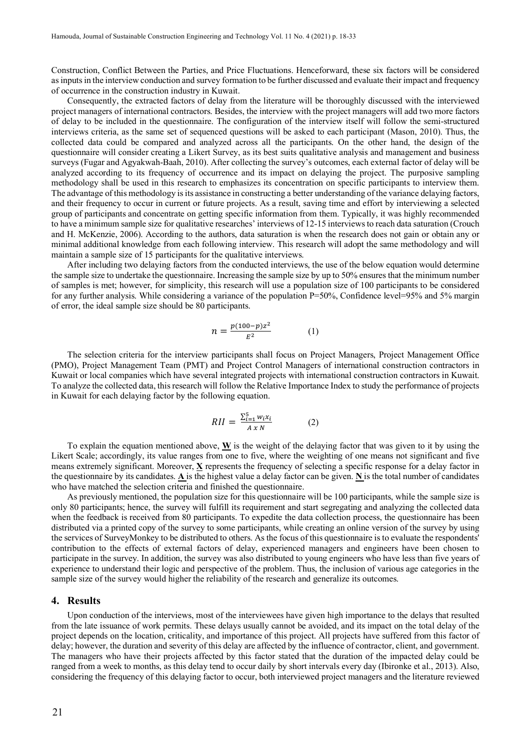Construction, Conflict Between the Parties, and Price Fluctuations. Henceforward, these six factors will be considered as inputs in the interview conduction and survey formation to be further discussed and evaluate their impact and frequency of occurrence in the construction industry in Kuwait.

Consequently, the extracted factors of delay from the literature will be thoroughly discussed with the interviewed project managers of international contractors. Besides, the interview with the project managers will add two more factors of delay to be included in the questionnaire. The configuration of the interview itself will follow the semi-structured interviews criteria, as the same set of sequenced questions will be asked to each participant (Mason, 2010). Thus, the collected data could be compared and analyzed across all the participants. On the other hand, the design of the questionnaire will consider creating a Likert Survey, as its best suits qualitative analysis and management and business surveys (Fugar and Agyakwah-Baah, 2010). After collecting the survey's outcomes, each external factor of delay will be analyzed according to its frequency of occurrence and its impact on delaying the project. The purposive sampling methodology shall be used in this research to emphasizes its concentration on specific participants to interview them. The advantage of this methodology is its assistance in constructing a better understanding of the variance delaying factors, and their frequency to occur in current or future projects. As a result, saving time and effort by interviewing a selected group of participants and concentrate on getting specific information from them. Typically, it was highly recommended to have a minimum sample size for qualitative researches' interviews of 12-15 interviews to reach data saturation (Crouch and H. McKenzie, 2006). According to the authors, data saturation is when the research does not gain or obtain any or minimal additional knowledge from each following interview. This research will adopt the same methodology and will maintain a sample size of 15 participants for the qualitative interviews.

After including two delaying factors from the conducted interviews, the use of the below equation would determine the sample size to undertake the questionnaire. Increasing the sample size by up to 50% ensures that the minimum number of samples is met; however, for simplicity, this research will use a population size of 100 participants to be considered for any further analysis. While considering a variance of the population P=50%, Confidence level=95% and 5% margin of error, the ideal sample size should be  $80$  participants.

$$
n = \frac{p(100 - p)z^2}{E^2} \tag{1}
$$

The selection criteria for the interview participants shall focus on Project Managers, Project Management Office (PMO), Project Management Team (PMT) and Project Control Managers of international construction contractors in Kuwait or local companies which have several integrated projects with international construction contractors in Kuwait. To analyze the collected data, this research will follow the Relative Importance Index to study the performance of projects in Kuwait for each delaying factor by the following equation.

$$
RII = \frac{\sum_{i=1}^{5} w_i x_i}{A x N} \tag{2}
$$

To explain the equation mentioned above,  $\bf{W}$  is the weight of the delaying factor that was given to it by using the Likert Scale; accordingly, its value ranges from one to five, where the weighting of one means not significant and five means extremely significant. Moreover, **X** represents the frequency of selecting a specific response for a delay factor in the questionnaire by its candidates. A is the highest value a delay factor can be given. N is the total number of candidates who have matched the selection criteria and finished the questionnaire.

As previously mentioned, the population size for this questionnaire will be 100 participants, while the sample size is only 80 participants; hence, the survey will fulfill its requirement and start segregating and analyzing the collected data when the feedback is received from 80 participants. To expedite the data collection process, the questionnaire has been distributed via a printed copy of the survey to some participants, while creating an online version of the survey by using the services of SurveyMonkey to be distributed to others. As the focus of this questionnaire is to evaluate the respondents' contribution to the effects of external factors of delay, experienced managers and engineers have been chosen to participate in the survey. In addition, the survey was also distributed to young engineers who have less than five years of experience to understand their logic and perspective of the problem. Thus, the inclusion of various age categories in the sample size of the survey would higher the reliability of the research and generalize its outcomes.

## **4. Results**

Upon conduction of the interviews, most of the interviewees have given high importance to the delays that resulted from the late issuance of work permits. These delays usually cannot be avoided, and its impact on the total delay of the project depends on the location, criticality, and importance of this project. All projects have suffered from this factor of delay; however, the duration and severity of this delay are affected by the influence of contractor, client, and government. The managers who have their projects affected by this factor stated that the duration of the impacted delay could be ranged from a week to months, as this delay tend to occur daily by short intervals every day (Ibironke et al., 2013). Also, considering the frequency of this delaying factor to occur, both interviewed project managers and the literature reviewed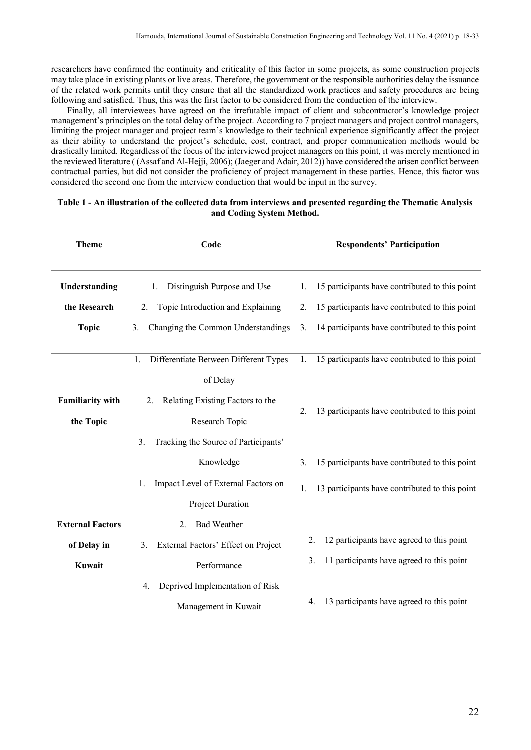researchers have confirmed the continuity and criticality of this factor in some projects, as some construction projects may take place in existing plants or live areas. Therefore, the government or the responsible authorities delay the issuance of the related work permits until they ensure that all the standardized work practices and safety procedures are being following and satisfied. Thus, this was the first factor to be considered from the conduction of the interview.

Finally, all interviewees have agreed on the irrefutable impact of client and subcontractor's knowledge project management's principles on the total delay of the project. According to 7 project managers and project control managers, limiting the project manager and project team's knowledge to their technical experience significantly affect the project as their ability to understand the project's schedule, cost, contract, and proper communication methods would be drastically limited. Regardless of the focus of the interviewed project managers on this point, it was merely mentioned in the reviewed literature ( (Assaf and Al-Hejji, 2006); (Jaeger and Adair, 2012)) have considered the arisen conflict between contractual parties, but did not consider the proficiency of project management in these parties. Hence, this factor was considered the second one from the interview conduction that would be input in the survey.

## **Table 1 - An illustration of the collected data from interviews and presented regarding the Thematic Analysis and Coding System Method.**

| <b>Theme</b>            | Code                                        | <b>Respondents' Participation</b>                                |
|-------------------------|---------------------------------------------|------------------------------------------------------------------|
| Understanding           | Distinguish Purpose and Use<br>1.           | 15 participants have contributed to this point<br>1.             |
| the Research            | Topic Introduction and Explaining<br>2.     | 15 participants have contributed to this point<br>2.             |
| <b>Topic</b>            | Changing the Common Understandings<br>3.    | 14 participants have contributed to this point<br>3.             |
|                         | 1.<br>Differentiate Between Different Types | 15 participants have contributed to this point<br>$\mathbf{1}$ . |
|                         | of Delay                                    |                                                                  |
| <b>Familiarity with</b> | Relating Existing Factors to the<br>2.      |                                                                  |
| the Topic               | Research Topic                              | 13 participants have contributed to this point<br>2.             |
|                         | Tracking the Source of Participants'<br>3.  |                                                                  |
|                         | Knowledge                                   | 15 participants have contributed to this point<br>3.             |
|                         | Impact Level of External Factors on<br>1.   | 13 participants have contributed to this point<br>1.             |
|                         | Project Duration                            |                                                                  |
| <b>External Factors</b> | <b>Bad Weather</b><br>2.                    |                                                                  |
| of Delay in             | External Factors' Effect on Project<br>3.   | 12 participants have agreed to this point<br>2.                  |
| Kuwait                  | Performance                                 | 11 participants have agreed to this point<br>3.                  |
|                         | Deprived Implementation of Risk<br>4.       |                                                                  |
|                         | Management in Kuwait                        | 13 participants have agreed to this point<br>4.                  |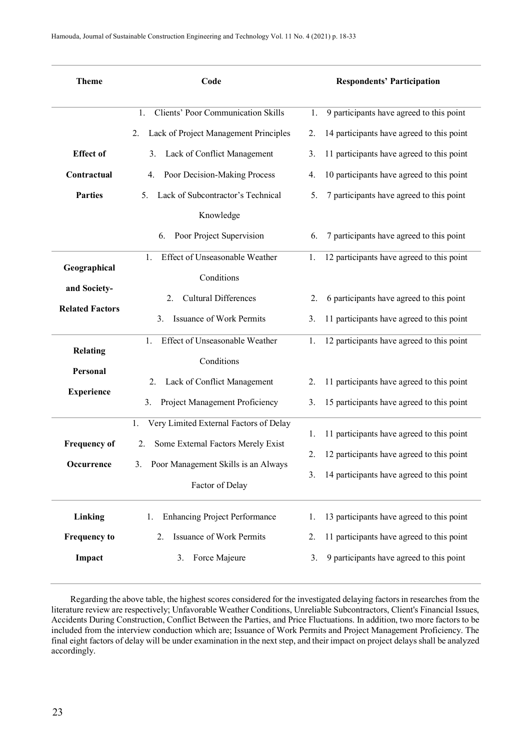| Clients' Poor Communication Skills<br>9 participants have agreed to this point<br>1.<br>1.<br>Lack of Project Management Principles<br>14 participants have agreed to this point<br>2.<br>2.<br><b>Effect</b> of<br>Lack of Conflict Management<br>11 participants have agreed to this point<br>3.<br>3.<br>Contractual<br>Poor Decision-Making Process<br>10 participants have agreed to this point<br>4.<br>4.<br><b>Parties</b><br>Lack of Subcontractor's Technical<br>7 participants have agreed to this point<br>5.<br>5.<br>Knowledge<br>Poor Project Supervision<br>7 participants have agreed to this point<br>6.<br>6. | Code | <b>Respondents' Participation</b> |  |  |  |  |
|----------------------------------------------------------------------------------------------------------------------------------------------------------------------------------------------------------------------------------------------------------------------------------------------------------------------------------------------------------------------------------------------------------------------------------------------------------------------------------------------------------------------------------------------------------------------------------------------------------------------------------|------|-----------------------------------|--|--|--|--|
|                                                                                                                                                                                                                                                                                                                                                                                                                                                                                                                                                                                                                                  |      |                                   |  |  |  |  |
|                                                                                                                                                                                                                                                                                                                                                                                                                                                                                                                                                                                                                                  |      |                                   |  |  |  |  |
|                                                                                                                                                                                                                                                                                                                                                                                                                                                                                                                                                                                                                                  |      |                                   |  |  |  |  |
|                                                                                                                                                                                                                                                                                                                                                                                                                                                                                                                                                                                                                                  |      |                                   |  |  |  |  |
|                                                                                                                                                                                                                                                                                                                                                                                                                                                                                                                                                                                                                                  |      |                                   |  |  |  |  |
|                                                                                                                                                                                                                                                                                                                                                                                                                                                                                                                                                                                                                                  |      |                                   |  |  |  |  |
|                                                                                                                                                                                                                                                                                                                                                                                                                                                                                                                                                                                                                                  |      |                                   |  |  |  |  |
| Effect of Unseasonable Weather<br>12 participants have agreed to this point<br>1.<br>1.<br>Geographical                                                                                                                                                                                                                                                                                                                                                                                                                                                                                                                          |      |                                   |  |  |  |  |
| Conditions<br>and Society-                                                                                                                                                                                                                                                                                                                                                                                                                                                                                                                                                                                                       |      |                                   |  |  |  |  |
| <b>Cultural Differences</b><br>6 participants have agreed to this point<br>2.<br>2.<br><b>Related Factors</b>                                                                                                                                                                                                                                                                                                                                                                                                                                                                                                                    |      |                                   |  |  |  |  |
| <b>Issuance of Work Permits</b><br>11 participants have agreed to this point<br>3.<br>3.                                                                                                                                                                                                                                                                                                                                                                                                                                                                                                                                         |      |                                   |  |  |  |  |
| 12 participants have agreed to this point<br>Effect of Unseasonable Weather<br>1.<br>1.<br><b>Relating</b>                                                                                                                                                                                                                                                                                                                                                                                                                                                                                                                       |      |                                   |  |  |  |  |
| Conditions<br>Personal                                                                                                                                                                                                                                                                                                                                                                                                                                                                                                                                                                                                           |      |                                   |  |  |  |  |
| Lack of Conflict Management<br>11 participants have agreed to this point<br>2.<br>2.                                                                                                                                                                                                                                                                                                                                                                                                                                                                                                                                             |      |                                   |  |  |  |  |
| <b>Experience</b><br>Project Management Proficiency<br>15 participants have agreed to this point<br>3.<br>3.                                                                                                                                                                                                                                                                                                                                                                                                                                                                                                                     |      |                                   |  |  |  |  |
| Very Limited External Factors of Delay<br>1.<br>11 participants have agreed to this point<br>1.                                                                                                                                                                                                                                                                                                                                                                                                                                                                                                                                  |      |                                   |  |  |  |  |
| <b>Frequency of</b><br>Some External Factors Merely Exist<br>2.<br>12 participants have agreed to this point<br>2.                                                                                                                                                                                                                                                                                                                                                                                                                                                                                                               |      |                                   |  |  |  |  |
| Poor Management Skills is an Always<br>3.<br>Occurrence<br>14 participants have agreed to this point<br>3.                                                                                                                                                                                                                                                                                                                                                                                                                                                                                                                       |      |                                   |  |  |  |  |
| Factor of Delay                                                                                                                                                                                                                                                                                                                                                                                                                                                                                                                                                                                                                  |      |                                   |  |  |  |  |
| <b>Enhancing Project Performance</b><br>Linking<br>13 participants have agreed to this point<br>1.<br>1.                                                                                                                                                                                                                                                                                                                                                                                                                                                                                                                         |      |                                   |  |  |  |  |
| Issuance of Work Permits<br>11 participants have agreed to this point<br><b>Frequency to</b><br>2.<br>2.                                                                                                                                                                                                                                                                                                                                                                                                                                                                                                                         |      |                                   |  |  |  |  |
| 9 participants have agreed to this point<br>Impact<br>Force Majeure<br>3.<br>3.                                                                                                                                                                                                                                                                                                                                                                                                                                                                                                                                                  |      |                                   |  |  |  |  |

Regarding the above table, the highest scores considered for the investigated delaying factors in researches from the literature review are respectively; Unfavorable Weather Conditions, Unreliable Subcontractors, Client's Financial Issues, Accidents During Construction, Conflict Between the Parties, and Price Fluctuations. In addition, two more factors to be included from the interview conduction which are; Issuance of Work Permits and Project Management Proficiency. The final eight factors of delay will be under examination in the next step, and their impact on project delays shall be analyzed accordingly.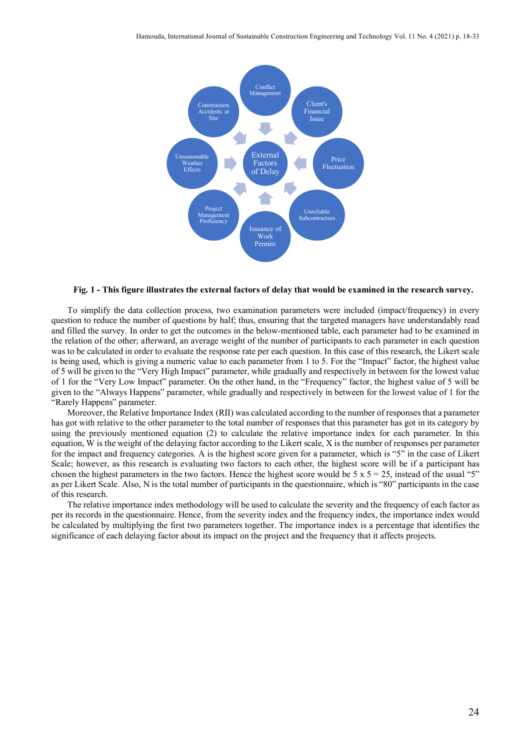

#### **Fig. 1 - This figure illustrates the external factors of delay that would be examined in the research survey.**

To simplify the data collection process, two examination parameters were included (impact/frequency) in every question to reduce the number of questions by half; thus, ensuring that the targeted managers have understandably read and filled the survey. In order to get the outcomes in the below-mentioned table, each parameter had to be examined in the relation of the other; afterward, an average weight of the number of participants to each parameter in each question was to be calculated in order to evaluate the response rate per each question. In this case of this research, the Likert scale is being used, which is giving a numeric value to each parameter from 1 to 5. For the "Impact" factor, the highest value of 5 will be given to the "Very High Impact" parameter, while gradually and respectively in between for the lowest value of 1 for the "Very Low Impact" parameter. On the other hand, in the "Frequency" factor, the highest value of 5 will be given to the "Always Happens" parameter, while gradually and respectively in between for the lowest value of 1 for the "Rarely Happens" parameter.

Moreover, the Relative Importance Index (RII) was calculated according to the number of responses that a parameter has got with relative to the other parameter to the total number of responses that this parameter has got in its category by using the previously mentioned equation (2) to calculate the relative importance index for each parameter. In this equation, W is the weight of the delaying factor according to the Likert scale, X is the number of responses per parameter for the impact and frequency categories. A is the highest score given for a parameter, which is "5" in the case of Likert Scale; however, as this research is evaluating two factors to each other, the highest score will be if a participant has chosen the highest parameters in the two factors. Hence the highest score would be  $5 \times 5 = 25$ , instead of the usual "5" as per Likert Scale. Also, N is the total number of participants in the questionnaire, which is "80" participants in the case of this research.

The relative importance index methodology will be used to calculate the severity and the frequency of each factor as per its records in the questionnaire. Hence, from the severity index and the frequency index, the importance index would be calculated by multiplying the first two parameters together. The importance index is a percentage that identifies the significance of each delaying factor about its impact on the project and the frequency that it affects projects.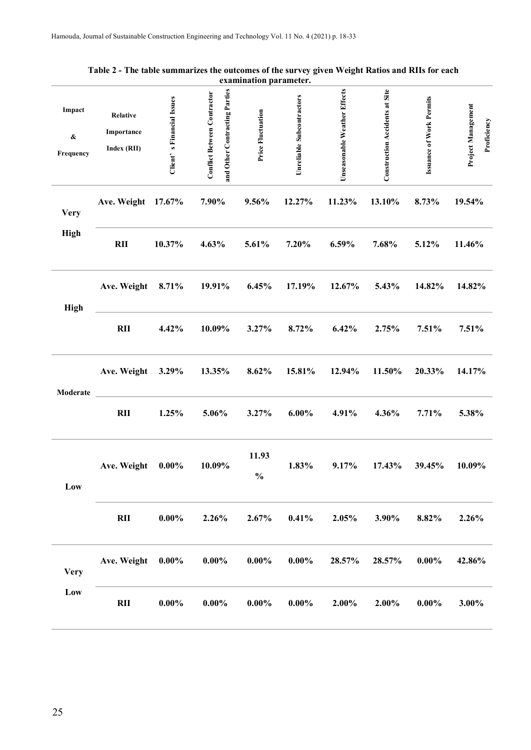|                                   |                                              |                           |                                                                     | елашшаноп рагашецег.     |                           |                              |                                |                                 |                                   |
|-----------------------------------|----------------------------------------------|---------------------------|---------------------------------------------------------------------|--------------------------|---------------------------|------------------------------|--------------------------------|---------------------------------|-----------------------------------|
| Impact<br>$\pmb{\&}$<br>Frequency | <b>Relative</b><br>Importance<br>Index (RII) | Client's Financial Issues | and Other Contracting Parties<br><b>Conflict Between Contractor</b> | <b>Price Fluctuation</b> | Unreliable Subcontractors | Unseasonable Weather Effects | Construction Accidents at Site | <b>Issuance of Work Permits</b> | Project Management<br>Proficiency |
| <b>Very</b><br><b>High</b>        | Ave. Weight                                  | 17.67%                    | 7.90%                                                               | 9.56%                    | 12.27%                    | 11.23%                       | 13.10%                         | 8.73%                           | 19.54%                            |
|                                   | RII                                          | 10.37%                    | 4.63%                                                               | 5.61%                    | 7.20%                     | 6.59%                        | 7.68%                          | 5.12%                           | 11.46%                            |
| <b>High</b>                       | Ave. Weight                                  | 8.71%                     | 19.91%                                                              | 6.45%                    | 17.19%                    | 12.67%                       | 5.43%                          | 14.82%                          | 14.82%                            |
|                                   | <b>RII</b>                                   | 4.42%                     | 10.09%                                                              | 3.27%                    | 8.72%                     | 6.42%                        | 2.75%                          | 7.51%                           | 7.51%                             |
| Moderate                          | Ave. Weight                                  | 3.29%                     | 13.35%                                                              | 8.62%                    | 15.81%                    | 12.94%                       | 11.50%                         | 20.33%                          | 14.17%                            |
|                                   | <b>RII</b>                                   | 1.25%                     | 5.06%                                                               | 3.27%                    | $6.00\%$                  | 4.91%                        | 4.36%                          | 7.71%                           | 5.38%                             |
| Low                               | Ave. Weight                                  | $0.00\%$                  | 10.09%                                                              | 11.93<br>$\frac{0}{0}$   | 1.83%                     | 9.17%                        | 17.43%                         | 39.45%                          | 10.09%                            |
|                                   | RII                                          | $0.00\%$                  | 2.26%                                                               | 2.67%                    | 0.41%                     | 2.05%                        | 3.90%                          | 8.82%                           | 2.26%                             |
| <b>Very</b><br>Low                | Ave. Weight                                  | $0.00\%$                  | $0.00\%$                                                            | $0.00\%$                 | $0.00\%$                  | 28.57%                       | 28.57%                         | $0.00\%$                        | 42.86%                            |
|                                   | <b>RII</b>                                   | $0.00\%$                  | $0.00\%$                                                            | $0.00\%$                 | $0.00\%$                  | 2.00%                        | 2.00%                          | $0.00\%$                        | 3.00%                             |

## **Table 2 - The table summarizes the outcomes of the survey given Weight Ratios and RIIs for each examination parameter.**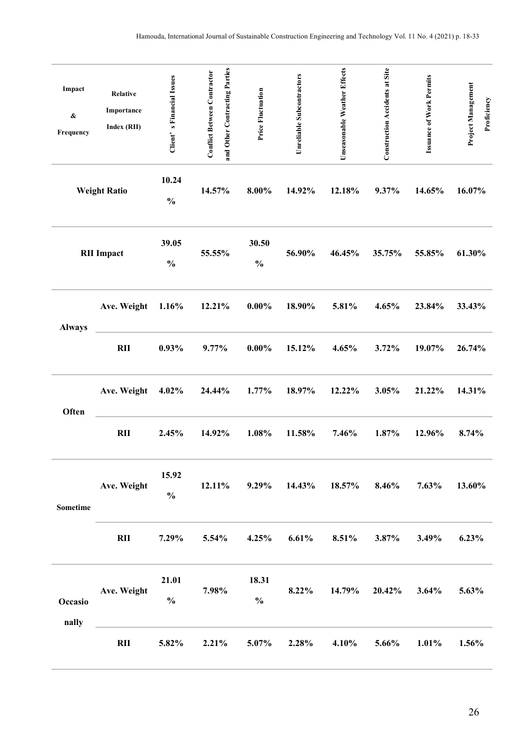| Impact<br>$\pmb{\&}$<br>Frequency | <b>Relative</b><br>Importance<br>Index (RII) | Client's Financial Issues | and Other Contracting Parties<br><b>Conflict Between Contractor</b> | <b>Price Fluctuation</b> | Unreliable Subcontractors    | Unseasonable Weather Effects | Construction Accidents at Site | <b>Issuance of Work Permits</b> | Project Management<br>Proficiency |
|-----------------------------------|----------------------------------------------|---------------------------|---------------------------------------------------------------------|--------------------------|------------------------------|------------------------------|--------------------------------|---------------------------------|-----------------------------------|
|                                   | <b>Weight Ratio</b>                          | 10.24<br>$\frac{0}{0}$    | 14.57%                                                              | $8.00\%$                 | 14.92%                       | 12.18%                       | 9.37%                          | 14.65%                          | 16.07%                            |
|                                   | <b>RII</b> Impact                            | 39.05<br>$\frac{0}{0}$    | 55.55%                                                              | 30.50<br>$\frac{0}{0}$   | 56.90%                       | 46.45%                       | 35.75%                         | 55.85%                          | 61.30%                            |
| <b>Always</b>                     | Ave. Weight                                  | 1.16%                     | 12.21%                                                              | $0.00\%$                 | 18.90%                       | 5.81%                        | 4.65%                          | 23.84%                          | 33.43%                            |
|                                   | RII                                          | 0.93%                     | 9.77%                                                               | $0.00\%$                 | 15.12%                       | 4.65%                        | 3.72%                          | 19.07%                          | 26.74%                            |
| Often                             | Ave. Weight                                  | 4.02%                     | 24.44%                                                              | 1.77%                    | 18.97%                       | 12.22%                       | 3.05%                          | 21.22%                          | 14.31%                            |
|                                   | RII                                          | 2.45%                     | 14.92%                                                              | 1.08%                    | 11.58%                       | 7.46%                        | 1.87%                          | 12.96%                          | 8.74%                             |
| <b>Sometime</b>                   | Ave. Weight                                  | 15.92<br>$\frac{0}{0}$    | 12.11%                                                              |                          | $9.29\%$ $14.43\%$ $18.57\%$ |                              | 8.46%                          | $7.63\%$                        | 13.60%                            |
|                                   | RII                                          | 7.29%                     | 5.54%                                                               | 4.25%                    | 6.61%                        | 8.51%                        | 3.87%                          | $3.49\%$                        | 6.23%                             |
| Occasio<br>nally                  | Ave. Weight                                  | 21.01<br>$\frac{0}{0}$    | 7.98%                                                               | 18.31<br>$\frac{0}{0}$   | $8.22\%$                     | 14.79%                       | 20.42%                         | $3.64\%$                        | 5.63%                             |
|                                   | $\mathbf{R}$                                 | 5.82%                     | 2.21%                                                               | $5.07\%$                 | 2.28%                        | $4.10\%$                     | 5.66%                          | $1.01\%$                        | 1.56%                             |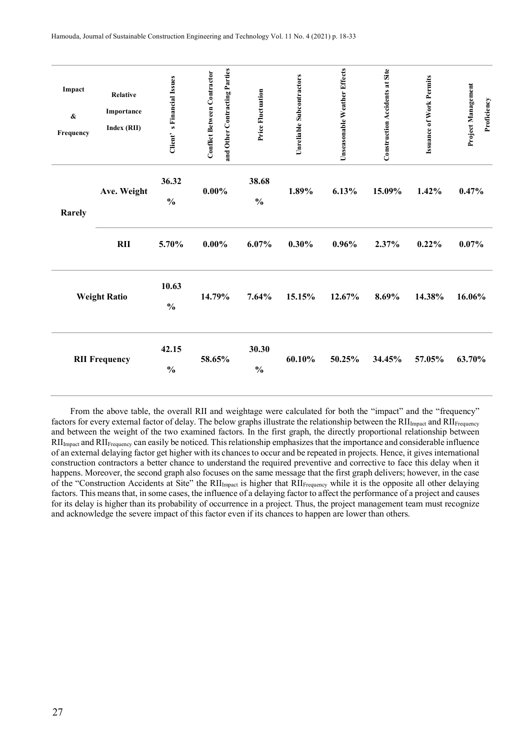| Impact<br>$\pmb{\&}$<br>Frequency | <b>Relative</b><br>Importance<br>Index (RII) | Client's Financial Issues | and Other Contracting Parties<br><b>Conflict Between Contractor</b> | Price Fluctuation      | Unreliable Subcontractors | Unseasonable Weather Effects | <b>Construction Accidents at Site</b> | <b>Issuance of Work Permits</b> | Project Management<br>Proficiency |
|-----------------------------------|----------------------------------------------|---------------------------|---------------------------------------------------------------------|------------------------|---------------------------|------------------------------|---------------------------------------|---------------------------------|-----------------------------------|
| Rarely                            | Ave. Weight                                  | 36.32<br>$\frac{0}{0}$    | $0.00\%$                                                            | 38.68<br>$\frac{0}{0}$ | 1.89%                     | 6.13%                        | 15.09%                                | 1.42%                           | 0.47%                             |
|                                   | <b>RII</b>                                   | 5.70%                     | $0.00\%$                                                            | 6.07%                  | 0.30%                     | 0.96%                        | 2.37%                                 | 0.22%                           | 0.07%                             |
|                                   | <b>Weight Ratio</b>                          | 10.63<br>$\frac{0}{0}$    | 14.79%                                                              | 7.64%                  | 15.15%                    | 12.67%                       | 8.69%                                 | 14.38%                          | 16.06%                            |
|                                   | <b>RII Frequency</b>                         | 42.15<br>$\frac{0}{0}$    | 58.65%                                                              | 30.30<br>$\frac{0}{0}$ | 60.10%                    | 50.25%                       | 34.45%                                | 57.05%                          | 63.70%                            |

From the above table, the overall RII and weightage were calculated for both the "impact" and the "frequency" factors for every external factor of delay. The below graphs illustrate the relationship between the  $\text{RII}_{\text{Image}}$  and  $\text{RII}_{\text{Frequency}}$ and between the weight of the two examined factors. In the first graph, the directly proportional relationship between  $RII<sub>impact</sub>$  and  $RII<sub>Frequency</sub>$  can easily be noticed. This relationship emphasizes that the importance and considerable influence of an external delaying factor get higher with its chances to occur and be repeated in projects. Hence, it gives international construction contractors a better chance to understand the required preventive and corrective to face this delay when it happens. Moreover, the second graph also focuses on the same message that the first graph delivers; however, in the case of the "Construction Accidents at Site" the RII<sub>Impact</sub> is higher that RII<sub>Frequency</sub> while it is the opposite all other delaying factors. This means that, in some cases, the influence of a delaying factor to affect the performance of a project and causes for its delay is higher than its probability of occurrence in a project. Thus, the project management team must recognize and acknowledge the severe impact of this factor even if its chances to happen are lower than others.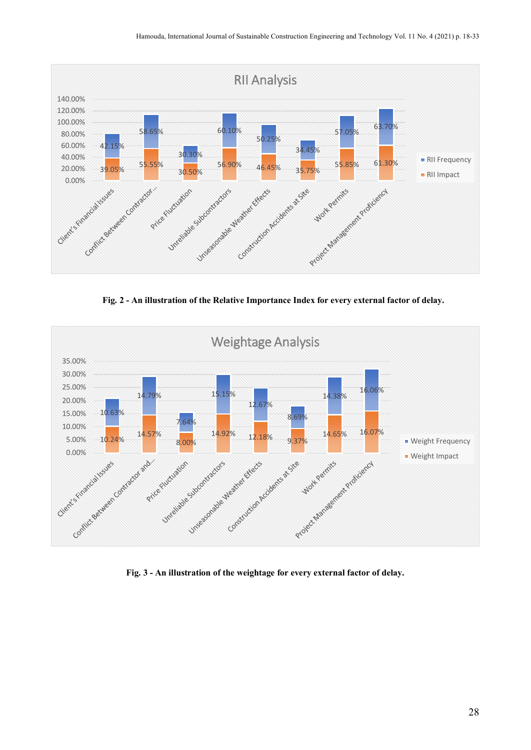

**Fig. 2 - An illustration of the Relative Importance Index for every external factor of delay.**



**Fig. 3 - An illustration of the weightage for every external factor of delay.**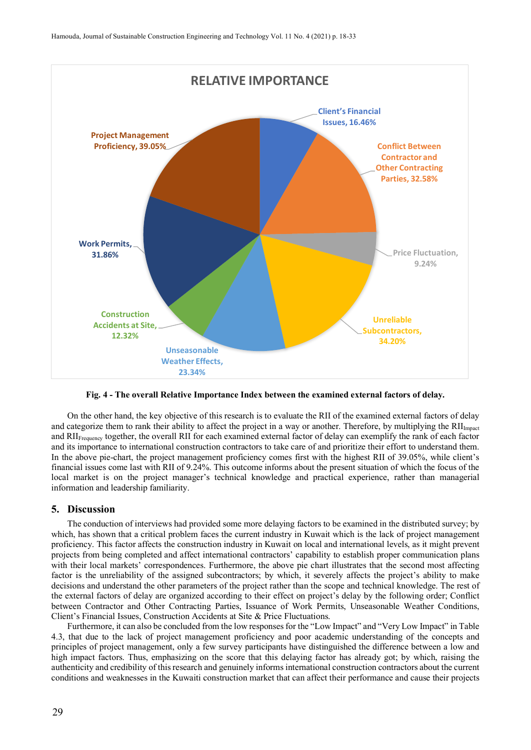

**Fig. 4 - The overall Relative Importance Index between the examined external factors of delay.**

On the other hand, the key objective of this research is to evaluate the RII of the examined external factors of delay and categorize them to rank their ability to affect the project in a way or another. Therefore, by multiplying the  $\text{RII}_{\text{lmøat}}$ and RII<sub>Frequency</sub> together, the overall RII for each examined external factor of delay can exemplify the rank of each factor and its importance to international construction contractors to take care of and prioritize their effort to understand them. In the above pie-chart, the project management proficiency comes first with the highest RII of 39.05%, while client's financial issues come last with RII of 9.24%. This outcome informs about the present situation of which the focus of the local market is on the project manager's technical knowledge and practical experience, rather than managerial information and leadership familiarity.

## **5. Discussion**

The conduction of interviews had provided some more delaying factors to be examined in the distributed survey; by which, has shown that a critical problem faces the current industry in Kuwait which is the lack of project management proficiency. This factor affects the construction industry in Kuwait on local and international levels, as it might prevent projects from being completed and affect international contractors' capability to establish proper communication plans with their local markets' correspondences. Furthermore, the above pie chart illustrates that the second most affecting factor is the unreliability of the assigned subcontractors; by which, it severely affects the project's ability to make decisions and understand the other parameters of the project rather than the scope and technical knowledge. The rest of the external factors of delay are organized according to their effect on project's delay by the following order; Conflict between Contractor and Other Contracting Parties, Issuance of Work Permits, Unseasonable Weather Conditions, Client's Financial Issues, Construction Accidents at Site & Price Fluctuations.

Furthermore, it can also be concluded from the low responses for the "Low Impact" and "Very Low Impact" in Table 4.3, that due to the lack of project management proficiency and poor academic understanding of the concepts and principles of project management, only a few survey participants have distinguished the difference between a low and high impact factors. Thus, emphasizing on the score that this delaying factor has already got; by which, raising the authenticity and credibility of this research and genuinely informs international construction contractors about the current conditions and weaknesses in the Kuwaiti construction market that can affect their performance and cause their projects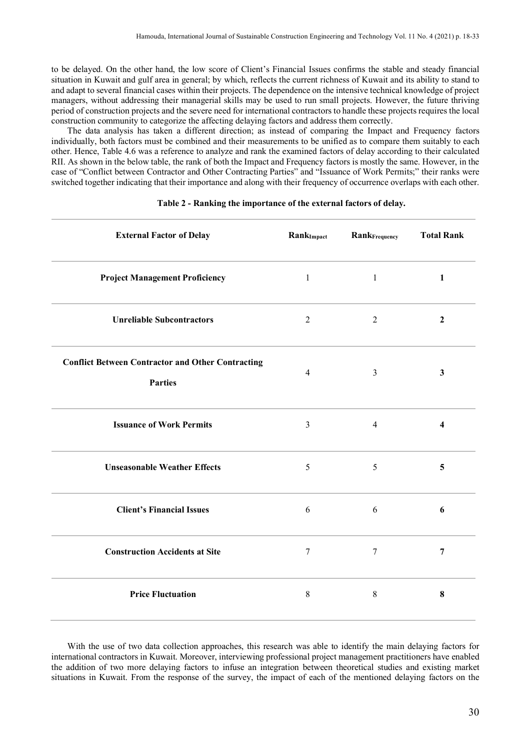to be delayed. On the other hand, the low score of Client's Financial Issues confirms the stable and steady financial situation in Kuwait and gulf area in general; by which, reflects the current richness of Kuwait and its ability to stand to and adapt to several financial cases within their projects. The dependence on the intensive technical knowledge of project managers, without addressing their managerial skills may be used to run small projects. However, the future thriving period of construction projects and the severe need for international contractors to handle these projects requires the local construction community to categorize the affecting delaying factors and address them correctly.

The data analysis has taken a different direction; as instead of comparing the Impact and Frequency factors individually, both factors must be combined and their measurements to be unified as to compare them suitably to each other. Hence, Table 4.6 was a reference to analyze and rank the examined factors of delay according to their calculated RII. As shown in the below table, the rank of both the Impact and Frequency factors is mostly the same. However, in the case of "Conflict between Contractor and Other Contracting Parties" and "Issuance of Work Permits;" their ranks were switched together indicating that their importance and along with their frequency of occurrence overlaps with each other.

| <b>External Factor of Delay</b>                                            | RankImpact     | RankFrequency    | <b>Total Rank</b>       |
|----------------------------------------------------------------------------|----------------|------------------|-------------------------|
| <b>Project Management Proficiency</b>                                      | $\mathbf{1}$   | $\mathbf{1}$     | $\mathbf{1}$            |
| <b>Unreliable Subcontractors</b>                                           | $\overline{2}$ | $\overline{2}$   | $\overline{2}$          |
| <b>Conflict Between Contractor and Other Contracting</b><br><b>Parties</b> | $\overline{4}$ | $\mathfrak{Z}$   | $\mathbf{3}$            |
| <b>Issuance of Work Permits</b>                                            | $\mathfrak{Z}$ | $\overline{4}$   | $\overline{\mathbf{4}}$ |
| <b>Unseasonable Weather Effects</b>                                        | 5              | 5                | 5                       |
| <b>Client's Financial Issues</b>                                           | 6              | 6                | 6                       |
| <b>Construction Accidents at Site</b>                                      | $\tau$         | $\boldsymbol{7}$ | $\overline{7}$          |
| <b>Price Fluctuation</b>                                                   | $\,8\,$        | $\,8\,$          | ${\bf 8}$               |

## **Table 2 - Ranking the importance of the external factors of delay.**

With the use of two data collection approaches, this research was able to identify the main delaying factors for international contractors in Kuwait. Moreover, interviewing professional project management practitioners have enabled the addition of two more delaying factors to infuse an integration between theoretical studies and existing market situations in Kuwait. From the response of the survey, the impact of each of the mentioned delaying factors on the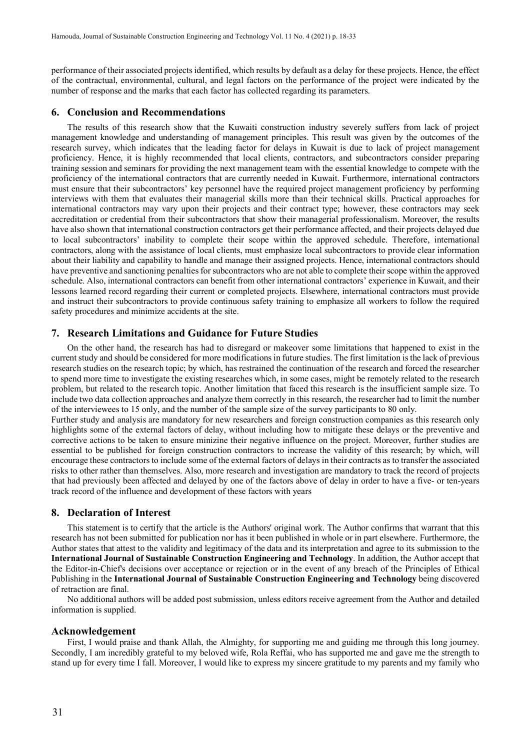performance of their associated projects identified, which results by default as a delay for these projects. Hence, the effect of the contractual, environmental, cultural, and legal factors on the performance of the project were indicated by the number of response and the marks that each factor has collected regarding its parameters.

## **6. Conclusion and Recommendations**

The results of this research show that the Kuwaiti construction industry severely suffers from lack of project management knowledge and understanding of management principles. This result was given by the outcomes of the research survey, which indicates that the leading factor for delays in Kuwait is due to lack of project management proficiency. Hence, it is highly recommended that local clients, contractors, and subcontractors consider preparing training session and seminars for providing the next management team with the essential knowledge to compete with the proficiency of the international contractors that are currently needed in Kuwait. Furthermore, international contractors must ensure that their subcontractors' key personnel have the required project management proficiency by performing interviews with them that evaluates their managerial skills more than their technical skills. Practical approaches for international contractors may vary upon their projects and their contract type; however, these contractors may seek accreditation or credential from their subcontractors that show their managerial professionalism. Moreover, the results have also shown that international construction contractors get their performance affected, and their projects delayed due to local subcontractors' inability to complete their scope within the approved schedule. Therefore, international contractors, along with the assistance of local clients, must emphasize local subcontractors to provide clear information about their liability and capability to handle and manage their assigned projects. Hence, international contractors should have preventive and sanctioning penalties for subcontractors who are not able to complete their scope within the approved schedule. Also, international contractors can benefit from other international contractors' experience in Kuwait, and their lessons learned record regarding their current or completed projects. Elsewhere, international contractors must provide and instruct their subcontractors to provide continuous safety training to emphasize all workers to follow the required safety procedures and minimize accidents at the site.

## **7. Research Limitations and Guidance for Future Studies**

On the other hand, the research has had to disregard or makeover some limitations that happened to exist in the current study and should be considered for more modifications in future studies. The first limitation is the lack of previous research studies on the research topic; by which, has restrained the continuation of the research and forced the researcher to spend more time to investigate the existing researches which, in some cases, might be remotely related to the research problem, but related to the research topic. Another limitation that faced this research is the insufficient sample size. To include two data collection approaches and analyze them correctly in this research, the researcher had to limit the number of the interviewees to 15 only, and the number of the sample size of the survey participants to 80 only.

Further study and analysis are mandatory for new researchers and foreign construction companies as this research only highlights some of the external factors of delay, without including how to mitigate these delays or the preventive and corrective actions to be taken to ensure minizine their negative influence on the project. Moreover, further studies are essential to be published for foreign construction contractors to increase the validity of this research; by which, will encourage these contractors to include some of the external factors of delays in their contracts as to transfer the associated risks to other rather than themselves. Also, more research and investigation are mandatory to track the record of projects that had previously been affected and delayed by one of the factors above of delay in order to have a five- or ten-years track record of the influence and development of these factors with years

## **8. Declaration of Interest**

This statement is to certify that the article is the Authors' original work. The Author confirms that warrant that this research has not been submitted for publication nor has it been published in whole or in part elsewhere. Furthermore, the Author states that attest to the validity and legitimacy of the data and its interpretation and agree to its submission to the **International Journal of Sustainable Construction Engineering and Technology**. In addition, the Author accept that the Editor-in-Chief's decisions over acceptance or rejection or in the event of any breach of the Principles of Ethical Publishing in the **International Journal of Sustainable Construction Engineering and Technology** being discovered of retraction are final.

No additional authors will be added post submission, unless editors receive agreement from the Author and detailed information is supplied.

## **Acknowledgement**

First, I would praise and thank Allah, the Almighty, for supporting me and guiding me through this long journey. Secondly, I am incredibly grateful to my beloved wife, Rola Reffai, who has supported me and gave me the strength to stand up for every time I fall. Moreover, I would like to express my sincere gratitude to my parents and my family who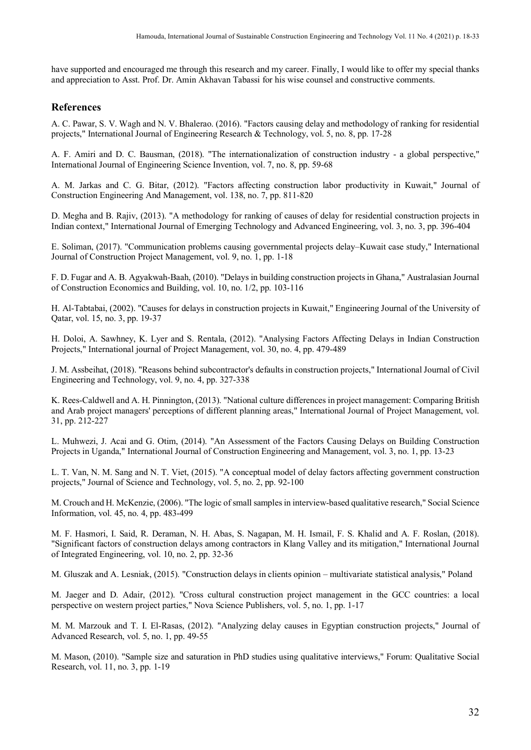have supported and encouraged me through this research and my career. Finally, I would like to offer my special thanks and appreciation to Asst. Prof. Dr. Amin Akhavan Tabassi for his wise counsel and constructive comments.

## **References**

A. C. Pawar, S. V. Wagh and N. V. Bhalerao. (2016). "Factors causing delay and methodology of ranking for residential projects," International Journal of Engineering Research & Technology, vol. 5, no. 8, pp. 17-28

A. F. Amiri and D. C. Bausman, (2018). "The internationalization of construction industry - a global perspective," International Journal of Engineering Science Invention, vol. 7, no. 8, pp. 59-68

A. M. Jarkas and C. G. Bitar, (2012). "Factors affecting construction labor productivity in Kuwait," Journal of Construction Engineering And Management, vol. 138, no. 7, pp. 811-820

D. Megha and B. Rajiv, (2013). "A methodology for ranking of causes of delay for residential construction projects in Indian context," International Journal of Emerging Technology and Advanced Engineering, vol. 3, no. 3, pp. 396-404

E. Soliman, (2017). "Communication problems causing governmental projects delay–Kuwait case study," International Journal of Construction Project Management, vol. 9, no. 1, pp. 1-18

F. D. Fugar and A. B. Agyakwah-Baah, (2010). "Delays in building construction projects in Ghana," Australasian Journal of Construction Economics and Building, vol. 10, no. 1/2, pp. 103-116

H. Al-Tabtabai, (2002). "Causes for delays in construction projects in Kuwait," Engineering Journal of the University of Qatar, vol. 15, no. 3, pp. 19-37

H. Doloi, A. Sawhney, K. Lyer and S. Rentala, (2012). "Analysing Factors Affecting Delays in Indian Construction Projects," International journal of Project Management, vol. 30, no. 4, pp. 479-489

J. M. Assbeihat, (2018). "Reasons behind subcontractor's defaults in construction projects," International Journal of Civil Engineering and Technology, vol. 9, no. 4, pp. 327-338

K. Rees-Caldwell and A. H. Pinnington, (2013). "National culture differences in project management: Comparing British and Arab project managers' perceptions of different planning areas," International Journal of Project Management, vol. 31, pp. 212-227

L. Muhwezi, J. Acai and G. Otim, (2014). "An Assessment of the Factors Causing Delays on Building Construction Projects in Uganda," International Journal of Construction Engineering and Management, vol. 3, no. 1, pp. 13-23

L. T. Van, N. M. Sang and N. T. Viet, (2015). "A conceptual model of delay factors affecting government construction projects," Journal of Science and Technology, vol. 5, no. 2, pp. 92-100

M. Crouch and H. McKenzie, (2006). "The logic of small samples in interview-based qualitative research," Social Science Information, vol. 45, no. 4, pp. 483-499

M. F. Hasmori, I. Said, R. Deraman, N. H. Abas, S. Nagapan, M. H. Ismail, F. S. Khalid and A. F. Roslan, (2018). "Significant factors of construction delays among contractors in Klang Valley and its mitigation," International Journal of Integrated Engineering, vol. 10, no. 2, pp. 32-36

M. Gluszak and A. Lesniak, (2015). "Construction delays in clients opinion – multivariate statistical analysis," Poland

M. Jaeger and D. Adair, (2012). "Cross cultural construction project management in the GCC countries: a local perspective on western project parties," Nova Science Publishers, vol. 5, no. 1, pp. 1-17

M. M. Marzouk and T. I. El-Rasas, (2012). "Analyzing delay causes in Egyptian construction projects," Journal of Advanced Research, vol. 5, no. 1, pp. 49-55

M. Mason, (2010). "Sample size and saturation in PhD studies using qualitative interviews," Forum: Qualitative Social Research, vol. 11, no. 3, pp. 1-19